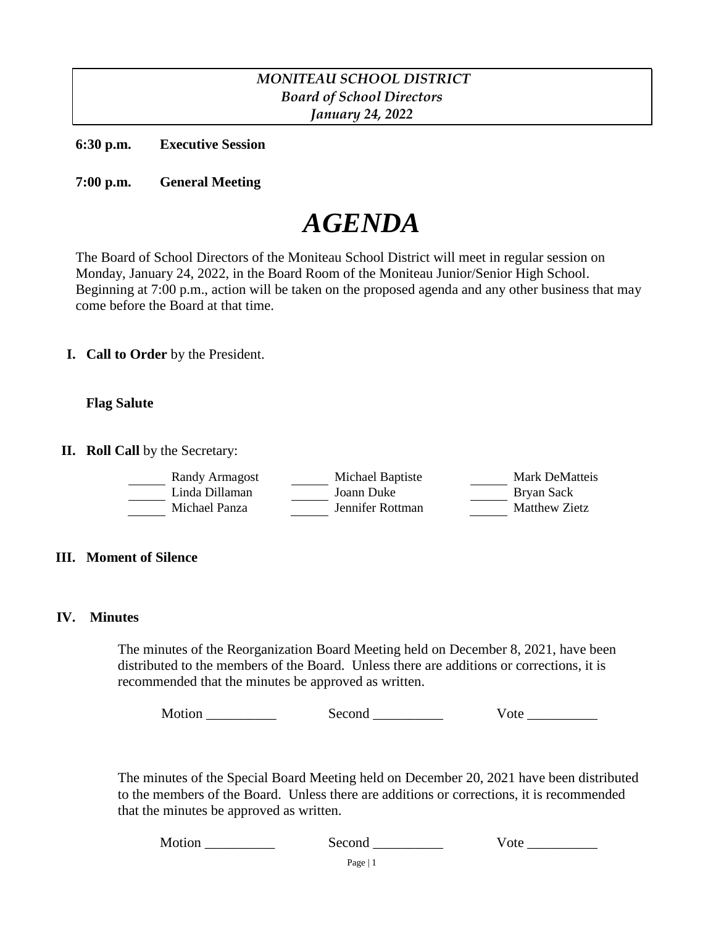# *MONITEAU SCHOOL DISTRICT Board of School Directors January 24, 2022*

**6:30 p.m. Executive Session**

**7:00 p.m. General Meeting**

# *AGENDA*

The Board of School Directors of the Moniteau School District will meet in regular session on Monday, January 24, 2022, in the Board Room of the Moniteau Junior/Senior High School. Beginning at 7:00 p.m., action will be taken on the proposed agenda and any other business that may come before the Board at that time.

**I. Call to Order** by the President.

#### **Flag Salute**

**II. Roll Call** by the Secretary:

| Randy Armagost | Michael Baptiste | Mark DeMatteis |
|----------------|------------------|----------------|
| Linda Dillaman | Joann Duke       | Bryan Sack     |
| Michael Panza  | Jennifer Rottman | Matthew Zietz  |

#### **III. Moment of Silence**

#### **IV. Minutes**

The minutes of the Reorganization Board Meeting held on December 8, 2021, have been distributed to the members of the Board. Unless there are additions or corrections, it is recommended that the minutes be approved as written.

Motion \_\_\_\_\_\_\_\_\_\_\_\_\_\_ Second \_\_\_\_\_\_\_\_\_\_ Vote \_\_\_\_\_\_\_\_\_\_

The minutes of the Special Board Meeting held on December 20, 2021 have been distributed to the members of the Board. Unless there are additions or corrections, it is recommended that the minutes be approved as written.

Motion \_\_\_\_\_\_\_\_\_\_\_\_\_\_\_\_ Second \_\_\_\_\_\_\_\_\_\_\_\_\_\_\_ Vote \_\_\_\_\_\_\_\_\_\_\_\_\_\_\_\_\_\_\_\_\_\_\_\_\_\_\_\_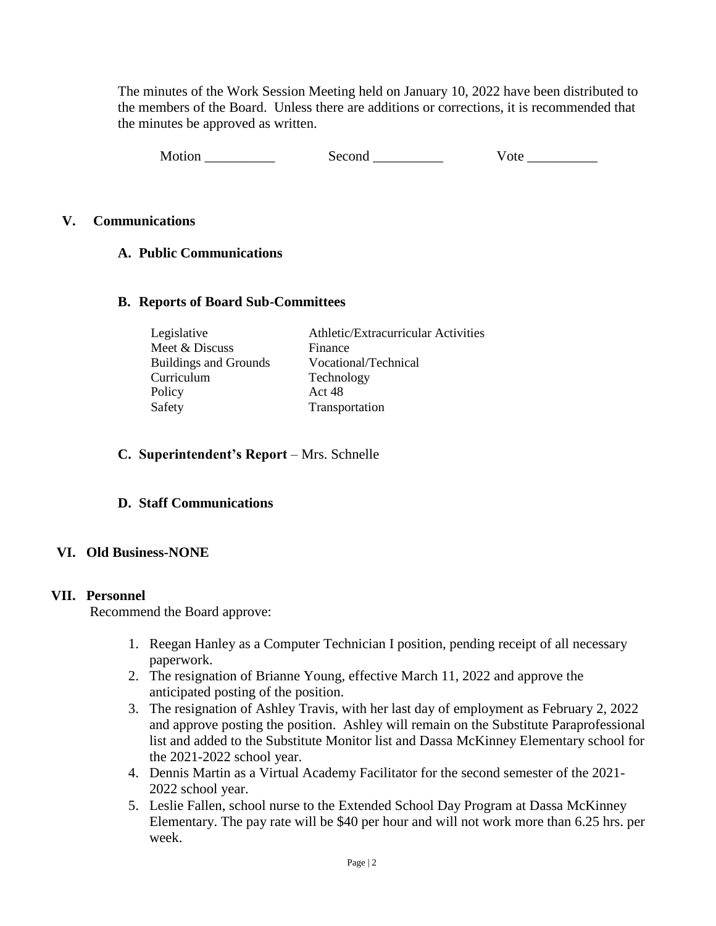The minutes of the Work Session Meeting held on January 10, 2022 have been distributed to the members of the Board. Unless there are additions or corrections, it is recommended that the minutes be approved as written.

| Motion | Second | v ote |
|--------|--------|-------|
|--------|--------|-------|

## **V. Communications**

## **A. Public Communications**

#### **B. Reports of Board Sub-Committees**

| Legislative                  | Athletic/Extracurricular Activities |
|------------------------------|-------------------------------------|
| Meet & Discuss               | Finance                             |
| <b>Buildings and Grounds</b> | Vocational/Technical                |
| Curriculum                   | Technology                          |
| Policy                       | Act 48                              |
| Safety                       | Transportation                      |

#### **C. Superintendent's Report** – Mrs. Schnelle

## **D. Staff Communications**

## **VI. Old Business-NONE**

#### **VII. Personnel**

Recommend the Board approve:

- 1. Reegan Hanley as a Computer Technician I position, pending receipt of all necessary paperwork.
- 2. The resignation of Brianne Young, effective March 11, 2022 and approve the anticipated posting of the position.
- 3. The resignation of Ashley Travis, with her last day of employment as February 2, 2022 and approve posting the position. Ashley will remain on the Substitute Paraprofessional list and added to the Substitute Monitor list and Dassa McKinney Elementary school for the 2021-2022 school year.
- 4. Dennis Martin as a Virtual Academy Facilitator for the second semester of the 2021- 2022 school year.
- 5. Leslie Fallen, school nurse to the Extended School Day Program at Dassa McKinney Elementary. The pay rate will be \$40 per hour and will not work more than 6.25 hrs. per week.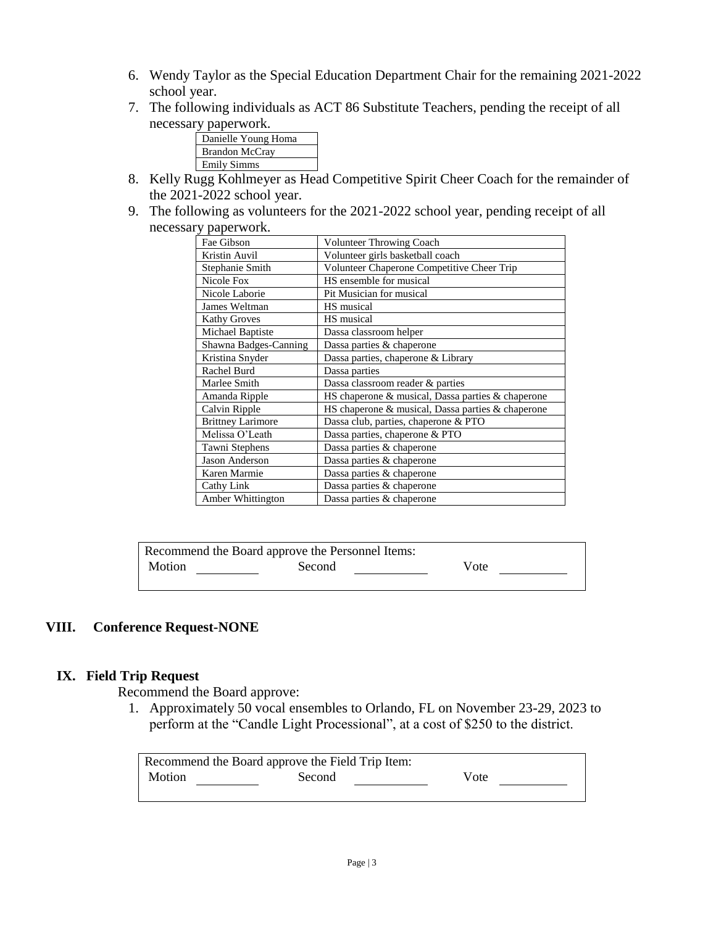- 6. Wendy Taylor as the Special Education Department Chair for the remaining 2021-2022 school year.
- 7. The following individuals as ACT 86 Substitute Teachers, pending the receipt of all necessary paperwork.



- 8. Kelly Rugg Kohlmeyer as Head Competitive Spirit Cheer Coach for the remainder of the 2021-2022 school year.
- 9. The following as volunteers for the 2021-2022 school year, pending receipt of all necessary paperwork.

| Fae Gibson               | Volunteer Throwing Coach                          |
|--------------------------|---------------------------------------------------|
| Kristin Auvil            | Volunteer girls basketball coach                  |
| Stephanie Smith          | Volunteer Chaperone Competitive Cheer Trip        |
| Nicole Fox               | HS ensemble for musical                           |
| Nicole Laborie           | Pit Musician for musical                          |
| James Weltman            | HS musical                                        |
| <b>Kathy Groves</b>      | HS musical                                        |
| Michael Baptiste         | Dassa classroom helper                            |
| Shawna Badges-Canning    | Dassa parties & chaperone                         |
| Kristina Snyder          | Dassa parties, chaperone & Library                |
| Rachel Burd              | Dassa parties                                     |
| Marlee Smith             | Dassa classroom reader & parties                  |
| Amanda Ripple            | HS chaperone & musical, Dassa parties & chaperone |
| Calvin Ripple            | HS chaperone & musical, Dassa parties & chaperone |
| <b>Brittney Larimore</b> | Dassa club, parties, chaperone & PTO              |
| Melissa O'Leath          | Dassa parties, chaperone & PTO                    |
| Tawni Stephens           | Dassa parties & chaperone                         |
| <b>Jason Anderson</b>    | Dassa parties & chaperone                         |
| Karen Marmie             | Dassa parties & chaperone                         |
| Cathy Link               | Dassa parties & chaperone                         |
| Amber Whittington        | Dassa parties & chaperone                         |

| Recommend the Board approve the Personnel Items: |        |      |  |  |  |
|--------------------------------------------------|--------|------|--|--|--|
| Motion                                           | Second | Vote |  |  |  |
|                                                  |        |      |  |  |  |

# **VIII. Conference Request-NONE**

## **IX. Field Trip Request**

Recommend the Board approve:

1. Approximately 50 vocal ensembles to Orlando, FL on November 23-29, 2023 to perform at the "Candle Light Processional", at a cost of \$250 to the district.

| Recommend the Board approve the Field Trip Item: |        |      |  |  |
|--------------------------------------------------|--------|------|--|--|
| Motion                                           | Second | Vote |  |  |
|                                                  |        |      |  |  |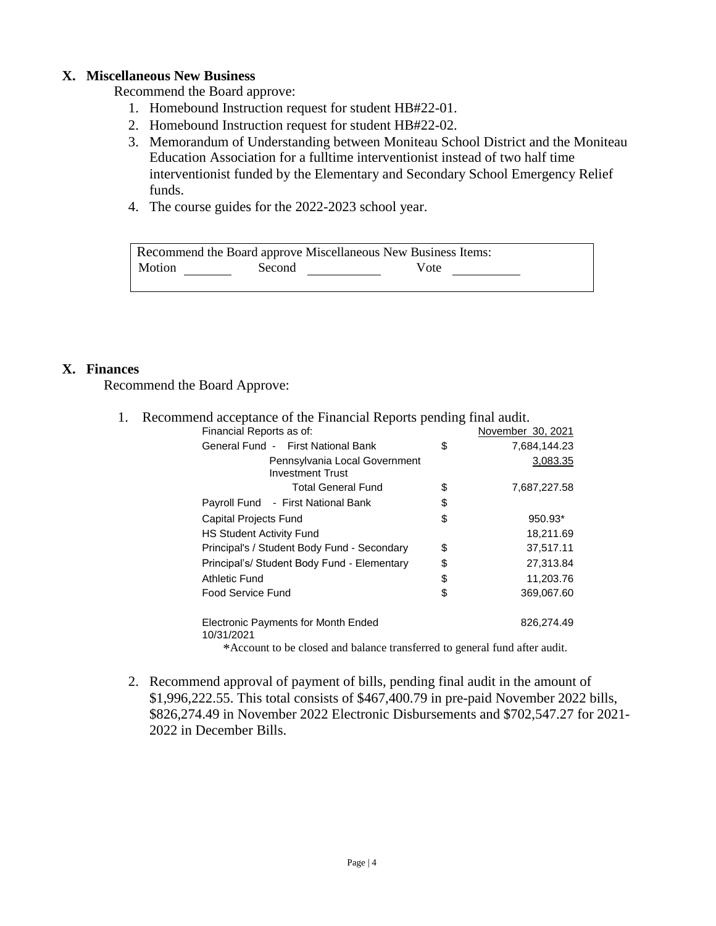## **X. Miscellaneous New Business**

Recommend the Board approve:

- 1. Homebound Instruction request for student HB#22-01.
- 2. Homebound Instruction request for student HB#22-02.
- 3. Memorandum of Understanding between Moniteau School District and the Moniteau Education Association for a fulltime interventionist instead of two half time interventionist funded by the Elementary and Secondary School Emergency Relief funds.
- 4. The course guides for the 2022-2023 school year.

| Recommend the Board approve Miscellaneous New Business Items: |        |      |  |
|---------------------------------------------------------------|--------|------|--|
| Motion                                                        | Second | Vote |  |

## **X. Finances**

Recommend the Board Approve:

| 1. | Recommend acceptance of the Financial Reports pending final audit. |                    |
|----|--------------------------------------------------------------------|--------------------|
|    | Financial Reports as of:                                           | November 30, 2021  |
|    | General Fund - First National Bank                                 | \$<br>7,684,144.23 |
|    | Pennsylvania Local Government<br><b>Investment Trust</b>           | 3,083.35           |
|    | <b>Total General Fund</b>                                          | \$<br>7,687,227.58 |
|    | Payroll Fund - First National Bank                                 | \$                 |
|    | Capital Projects Fund                                              | \$<br>950.93*      |
|    | <b>HS Student Activity Fund</b>                                    | 18,211.69          |
|    | Principal's / Student Body Fund - Secondary                        | \$<br>37,517.11    |
|    | Principal's/ Student Body Fund - Elementary                        | \$<br>27,313.84    |
|    | Athletic Fund                                                      | \$<br>11,203.76    |
|    | Food Service Fund                                                  | \$<br>369,067.60   |
|    | Electronic Payments for Month Ended<br>10/31/2021                  | 826,274.49         |
|    |                                                                    |                    |

\*Account to be closed and balance transferred to general fund after audit.

2. Recommend approval of payment of bills, pending final audit in the amount of \$1,996,222.55. This total consists of \$467,400.79 in pre-paid November 2022 bills, \$826,274.49 in November 2022 Electronic Disbursements and \$702,547.27 for 2021- 2022 in December Bills.